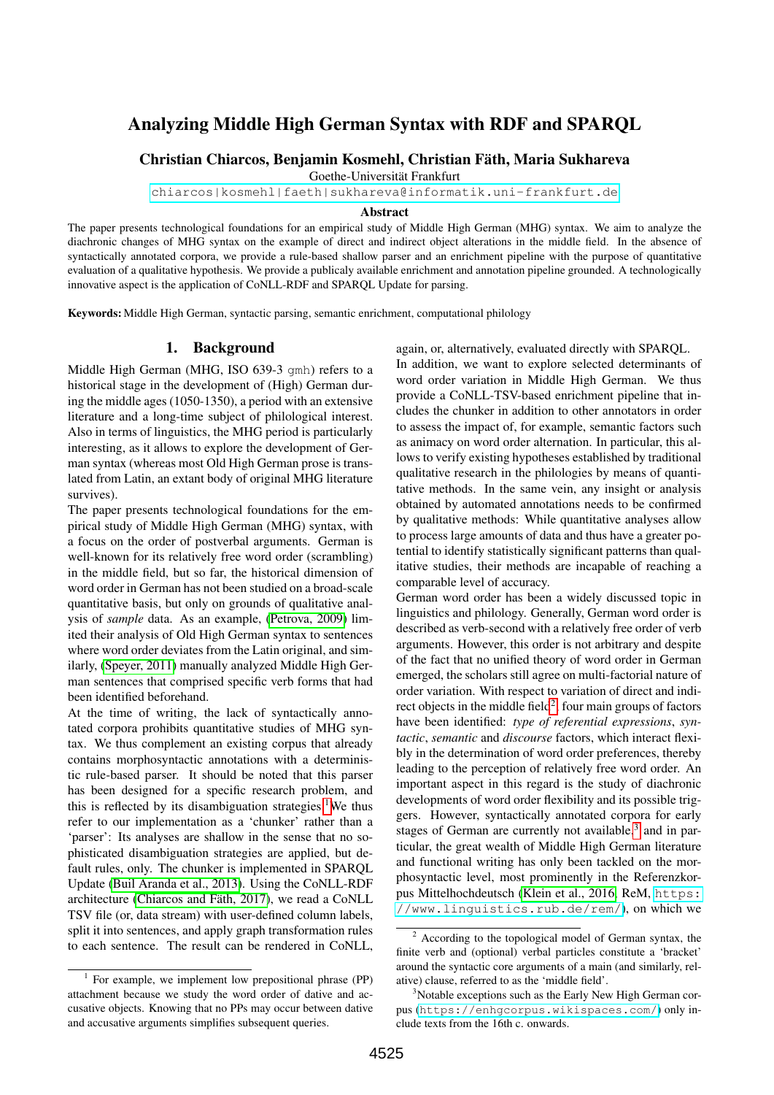# Analyzing Middle High German Syntax with RDF and SPARQL

Christian Chiarcos, Benjamin Kosmehl, Christian Fath, Maria Sukhareva ¨

Goethe-Universität Frankfurt

<chiarcos|kosmehl|faeth|sukhareva@informatik.uni-frankfurt.de>

#### Abstract

The paper presents technological foundations for an empirical study of Middle High German (MHG) syntax. We aim to analyze the diachronic changes of MHG syntax on the example of direct and indirect object alterations in the middle field. In the absence of syntactically annotated corpora, we provide a rule-based shallow parser and an enrichment pipeline with the purpose of quantitative evaluation of a qualitative hypothesis. We provide a publicaly available enrichment and annotation pipeline grounded. A technologically innovative aspect is the application of CoNLL-RDF and SPARQL Update for parsing.

Keywords: Middle High German, syntactic parsing, semantic enrichment, computational philology

# 1. Background

Middle High German (MHG, ISO 639-3 gmh) refers to a historical stage in the development of (High) German during the middle ages (1050-1350), a period with an extensive literature and a long-time subject of philological interest. Also in terms of linguistics, the MHG period is particularly interesting, as it allows to explore the development of German syntax (whereas most Old High German prose is translated from Latin, an extant body of original MHG literature survives).

The paper presents technological foundations for the empirical study of Middle High German (MHG) syntax, with a focus on the order of postverbal arguments. German is well-known for its relatively free word order (scrambling) in the middle field, but so far, the historical dimension of word order in German has not been studied on a broad-scale quantitative basis, but only on grounds of qualitative analysis of *sample* data. As an example, [\(Petrova, 2009\)](#page-9-0) limited their analysis of Old High German syntax to sentences where word order deviates from the Latin original, and similarly, [\(Speyer, 2011\)](#page-9-1) manually analyzed Middle High German sentences that comprised specific verb forms that had been identified beforehand.

At the time of writing, the lack of syntactically annotated corpora prohibits quantitative studies of MHG syntax. We thus complement an existing corpus that already contains morphosyntactic annotations with a deterministic rule-based parser. It should be noted that this parser has been designed for a specific research problem, and this is reflected by its disambiguation strategies.<sup>[1](#page-0-0)</sup>We thus refer to our implementation as a 'chunker' rather than a 'parser': Its analyses are shallow in the sense that no sophisticated disambiguation strategies are applied, but default rules, only. The chunker is implemented in SPARQL Update [\(Buil Aranda et al., 2013\)](#page-8-0). Using the CoNLL-RDF architecture (Chiarcos and Fäth, 2017), we read a CoNLL TSV file (or, data stream) with user-defined column labels, split it into sentences, and apply graph transformation rules to each sentence. The result can be rendered in CoNLL,

again, or, alternatively, evaluated directly with SPARQL.

In addition, we want to explore selected determinants of word order variation in Middle High German. We thus provide a CoNLL-TSV-based enrichment pipeline that includes the chunker in addition to other annotators in order to assess the impact of, for example, semantic factors such as animacy on word order alternation. In particular, this allows to verify existing hypotheses established by traditional qualitative research in the philologies by means of quantitative methods. In the same vein, any insight or analysis obtained by automated annotations needs to be confirmed by qualitative methods: While quantitative analyses allow to process large amounts of data and thus have a greater potential to identify statistically significant patterns than qualitative studies, their methods are incapable of reaching a comparable level of accuracy.

German word order has been a widely discussed topic in linguistics and philology. Generally, German word order is described as verb-second with a relatively free order of verb arguments. However, this order is not arbitrary and despite of the fact that no unified theory of word order in German emerged, the scholars still agree on multi-factorial nature of order variation. With respect to variation of direct and indirect objects in the middle field $^2$  $^2$ , four main groups of factors have been identified: *type of referential expressions*, *syntactic*, *semantic* and *discourse* factors, which interact flexibly in the determination of word order preferences, thereby leading to the perception of relatively free word order. An important aspect in this regard is the study of diachronic developments of word order flexibility and its possible triggers. However, syntactically annotated corpora for early stages of German are currently not available, $3$  and in particular, the great wealth of Middle High German literature and functional writing has only been tackled on the morphosyntactic level, most prominently in the Referenzkorpus Mittelhochdeutsch [\(Klein et al., 2016,](#page-8-2) ReM, [https:](https://www.linguistics.rub.de/rem/) [//www.linguistics.rub.de/rem/](https://www.linguistics.rub.de/rem/)), on which we

<span id="page-0-0"></span><sup>&</sup>lt;sup>1</sup> For example, we implement low prepositional phrase (PP) attachment because we study the word order of dative and accusative objects. Knowing that no PPs may occur between dative and accusative arguments simplifies subsequent queries.

<span id="page-0-1"></span><sup>2</sup> According to the topological model of German syntax, the finite verb and (optional) verbal particles constitute a 'bracket' around the syntactic core arguments of a main (and similarly, relative) clause, referred to as the 'middle field'.

<span id="page-0-2"></span><sup>&</sup>lt;sup>3</sup>Notable exceptions such as the Early New High German corpus (<https://enhgcorpus.wikispaces.com/>) only include texts from the 16th c. onwards.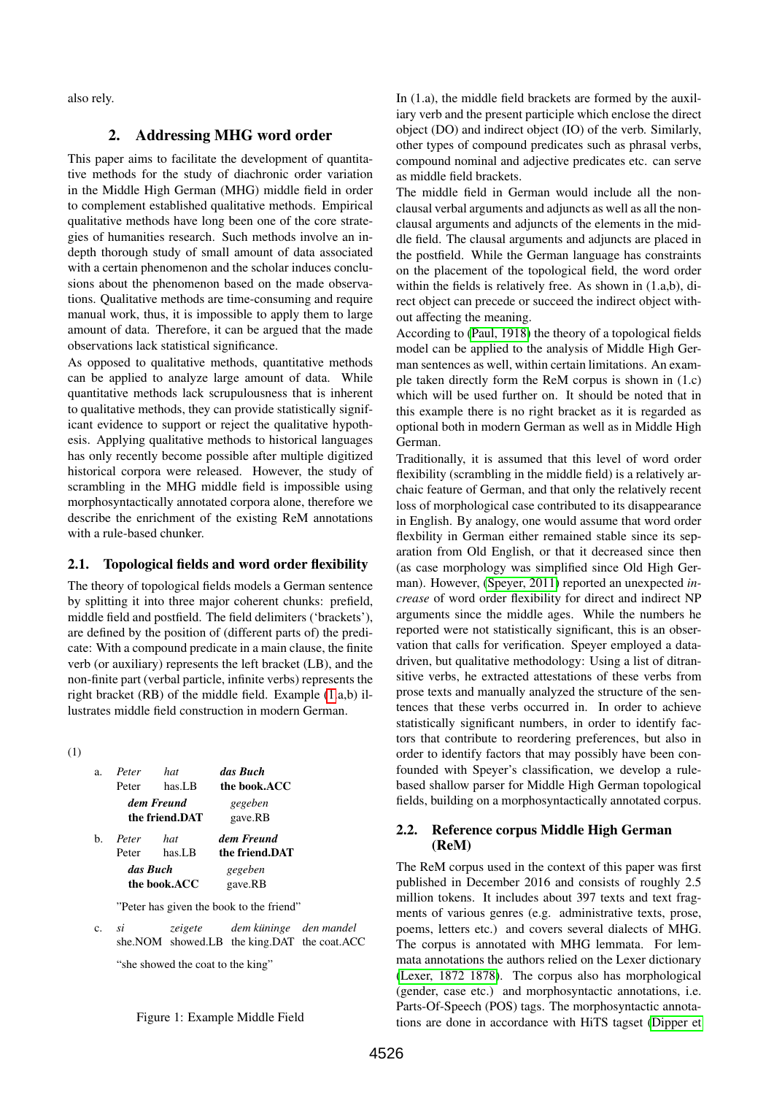also rely.

# 2. Addressing MHG word order

This paper aims to facilitate the development of quantitative methods for the study of diachronic order variation in the Middle High German (MHG) middle field in order to complement established qualitative methods. Empirical qualitative methods have long been one of the core strategies of humanities research. Such methods involve an indepth thorough study of small amount of data associated with a certain phenomenon and the scholar induces conclusions about the phenomenon based on the made observations. Qualitative methods are time-consuming and require manual work, thus, it is impossible to apply them to large amount of data. Therefore, it can be argued that the made observations lack statistical significance.

As opposed to qualitative methods, quantitative methods can be applied to analyze large amount of data. While quantitative methods lack scrupulousness that is inherent to qualitative methods, they can provide statistically significant evidence to support or reject the qualitative hypothesis. Applying qualitative methods to historical languages has only recently become possible after multiple digitized historical corpora were released. However, the study of scrambling in the MHG middle field is impossible using morphosyntactically annotated corpora alone, therefore we describe the enrichment of the existing ReM annotations with a rule-based chunker.

# 2.1. Topological fields and word order flexibility

The theory of topological fields models a German sentence by splitting it into three major coherent chunks: prefield, middle field and postfield. The field delimiters ('brackets'), are defined by the position of (different parts of) the predicate: With a compound predicate in a main clause, the finite verb (or auxiliary) represents the left bracket (LB), and the non-finite part (verbal particle, infinite verbs) represents the right bracket (RB) of the middle field. Example [\(1.](#page-1-0)a,b) illustrates middle field construction in modern German.

<span id="page-1-0"></span>(1)

| $\mathbf{a}$ . | Peter                        | hat    | das Buch           |
|----------------|------------------------------|--------|--------------------|
|                | Peter                        | has.LB | the book.ACC       |
|                | dem Freund<br>the friend.DAT |        | gegeben<br>gave.RB |
| h.             | Peter                        | hat    | dem Freund         |
|                | Peter                        | has.LB | the friend.DAT     |
| das Buch       |                              |        | gegeben            |
| the book.ACC   |                              |        | gave.RB            |
|                |                              |        |                    |

"Peter has given the book to the friend"

c. *si* she.NOM showed.LB the king.DAT the coat.ACC *zeigete dem kuninge ¨ den mandel*

"she showed the coat to the king"

In (1.a), the middle field brackets are formed by the auxiliary verb and the present participle which enclose the direct object (DO) and indirect object (IO) of the verb. Similarly, other types of compound predicates such as phrasal verbs, compound nominal and adjective predicates etc. can serve as middle field brackets.

The middle field in German would include all the nonclausal verbal arguments and adjuncts as well as all the nonclausal arguments and adjuncts of the elements in the middle field. The clausal arguments and adjuncts are placed in the postfield. While the German language has constraints on the placement of the topological field, the word order within the fields is relatively free. As shown in (1.a,b), direct object can precede or succeed the indirect object without affecting the meaning.

According to [\(Paul, 1918\)](#page-9-2) the theory of a topological fields model can be applied to the analysis of Middle High German sentences as well, within certain limitations. An example taken directly form the ReM corpus is shown in (1.c) which will be used further on. It should be noted that in this example there is no right bracket as it is regarded as optional both in modern German as well as in Middle High German.

Traditionally, it is assumed that this level of word order flexibility (scrambling in the middle field) is a relatively archaic feature of German, and that only the relatively recent loss of morphological case contributed to its disappearance in English. By analogy, one would assume that word order flexbility in German either remained stable since its separation from Old English, or that it decreased since then (as case morphology was simplified since Old High German). However, [\(Speyer, 2011\)](#page-9-1) reported an unexpected *increase* of word order flexibility for direct and indirect NP arguments since the middle ages. While the numbers he reported were not statistically significant, this is an observation that calls for verification. Speyer employed a datadriven, but qualitative methodology: Using a list of ditransitive verbs, he extracted attestations of these verbs from prose texts and manually analyzed the structure of the sentences that these verbs occurred in. In order to achieve statistically significant numbers, in order to identify factors that contribute to reordering preferences, but also in order to identify factors that may possibly have been confounded with Speyer's classification, we develop a rulebased shallow parser for Middle High German topological fields, building on a morphosyntactically annotated corpus.

# 2.2. Reference corpus Middle High German (ReM)

The ReM corpus used in the context of this paper was first published in December 2016 and consists of roughly 2.5 million tokens. It includes about 397 texts and text fragments of various genres (e.g. administrative texts, prose, poems, letters etc.) and covers several dialects of MHG. The corpus is annotated with MHG lemmata. For lemmata annotations the authors relied on the Lexer dictionary [\(Lexer, 1872 1878\)](#page-8-3). The corpus also has morphological (gender, case etc.) and morphosyntactic annotations, i.e. Parts-Of-Speech (POS) tags. The morphosyntactic annotations are done in accordance with HiTS tagset [\(Dipper et](#page-8-4)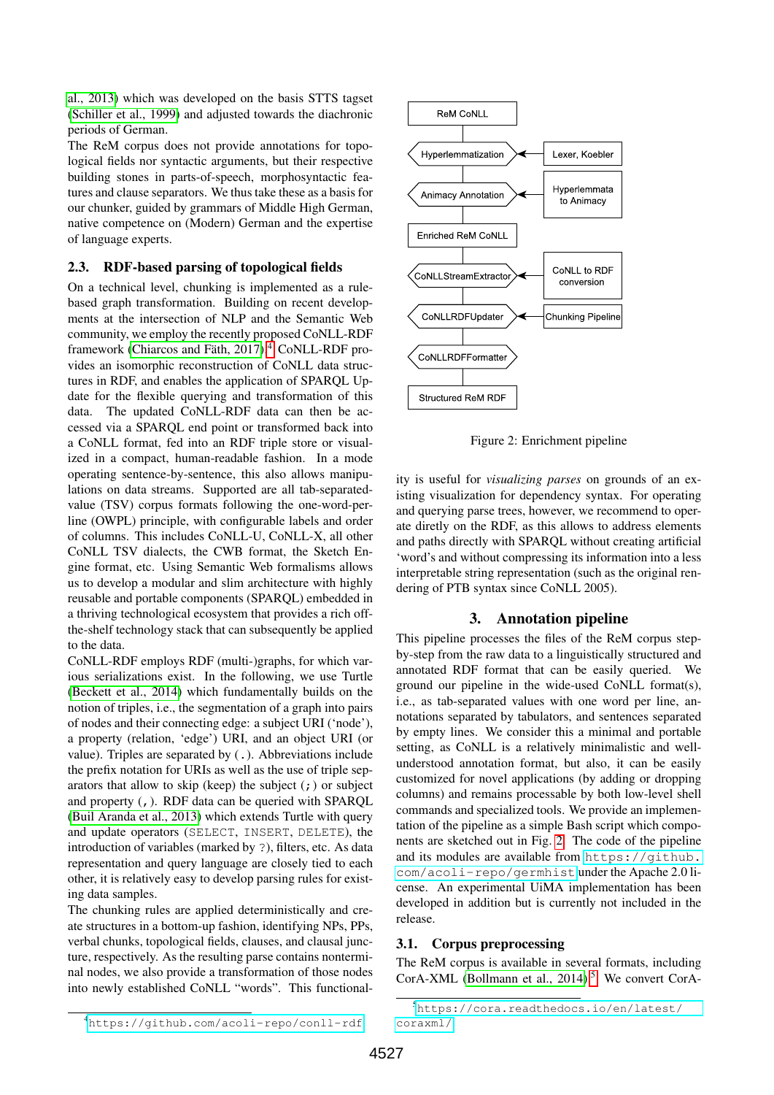[al., 2013\)](#page-8-4) which was developed on the basis STTS tagset [\(Schiller et al., 1999\)](#page-9-3) and adjusted towards the diachronic periods of German.

The ReM corpus does not provide annotations for topological fields nor syntactic arguments, but their respective building stones in parts-of-speech, morphosyntactic features and clause separators. We thus take these as a basis for our chunker, guided by grammars of Middle High German, native competence on (Modern) German and the expertise of language experts.

# 2.3. RDF-based parsing of topological fields

On a technical level, chunking is implemented as a rulebased graph transformation. Building on recent developments at the intersection of NLP and the Semantic Web community, we employ the recently proposed CoNLL-RDF framework (Chiarcos and Fäth, 2017).<sup>[4](#page-2-0)</sup> CoNLL-RDF provides an isomorphic reconstruction of CoNLL data structures in RDF, and enables the application of SPARQL Update for the flexible querying and transformation of this data. The updated CoNLL-RDF data can then be accessed via a SPARQL end point or transformed back into a CoNLL format, fed into an RDF triple store or visualized in a compact, human-readable fashion. In a mode operating sentence-by-sentence, this also allows manipulations on data streams. Supported are all tab-separatedvalue (TSV) corpus formats following the one-word-perline (OWPL) principle, with configurable labels and order of columns. This includes CoNLL-U, CoNLL-X, all other CoNLL TSV dialects, the CWB format, the Sketch Engine format, etc. Using Semantic Web formalisms allows us to develop a modular and slim architecture with highly reusable and portable components (SPARQL) embedded in a thriving technological ecosystem that provides a rich offthe-shelf technology stack that can subsequently be applied to the data.

CoNLL-RDF employs RDF (multi-)graphs, for which various serializations exist. In the following, we use Turtle [\(Beckett et al., 2014\)](#page-8-5) which fundamentally builds on the notion of triples, i.e., the segmentation of a graph into pairs of nodes and their connecting edge: a subject URI ('node'), a property (relation, 'edge') URI, and an object URI (or value). Triples are separated by (.). Abbreviations include the prefix notation for URIs as well as the use of triple separators that allow to skip (keep) the subject  $(j)$  or subject and property (,). RDF data can be queried with SPARQL [\(Buil Aranda et al., 2013\)](#page-8-0) which extends Turtle with query and update operators (SELECT, INSERT, DELETE), the introduction of variables (marked by ?), filters, etc. As data representation and query language are closely tied to each other, it is relatively easy to develop parsing rules for existing data samples.

The chunking rules are applied deterministically and create structures in a bottom-up fashion, identifying NPs, PPs, verbal chunks, topological fields, clauses, and clausal juncture, respectively. As the resulting parse contains nonterminal nodes, we also provide a transformation of those nodes into newly established CoNLL "words". This functional-

<span id="page-2-1"></span>

Figure 2: Enrichment pipeline

ity is useful for *visualizing parses* on grounds of an existing visualization for dependency syntax. For operating and querying parse trees, however, we recommend to operate diretly on the RDF, as this allows to address elements and paths directly with SPARQL without creating artificial 'word's and without compressing its information into a less interpretable string representation (such as the original rendering of PTB syntax since CoNLL 2005).

# 3. Annotation pipeline

This pipeline processes the files of the ReM corpus stepby-step from the raw data to a linguistically structured and annotated RDF format that can be easily queried. We ground our pipeline in the wide-used CoNLL format(s), i.e., as tab-separated values with one word per line, annotations separated by tabulators, and sentences separated by empty lines. We consider this a minimal and portable setting, as CoNLL is a relatively minimalistic and wellunderstood annotation format, but also, it can be easily customized for novel applications (by adding or dropping columns) and remains processable by both low-level shell commands and specialized tools. We provide an implementation of the pipeline as a simple Bash script which components are sketched out in Fig. [2.](#page-2-1) The code of the pipeline and its modules are available from [https://github.](https://github.com/acoli-repo/germhist) [com/acoli-repo/germhist](https://github.com/acoli-repo/germhist) under the Apache 2.0 license. An experimental UiMA implementation has been developed in addition but is currently not included in the release.

# 3.1. Corpus preprocessing

The ReM corpus is available in several formats, including CorA-XML (Bollmann et al.,  $2014$ ).<sup>[5](#page-2-2)</sup> We convert CorA-

<span id="page-2-0"></span><sup>4</sup><https://github.com/acoli-repo/conll-rdf>

<span id="page-2-2"></span><sup>5</sup>[https://cora.readthedocs.io/en/latest/](https://cora.readthedocs.io/en/latest/coraxml/) [coraxml/](https://cora.readthedocs.io/en/latest/coraxml/)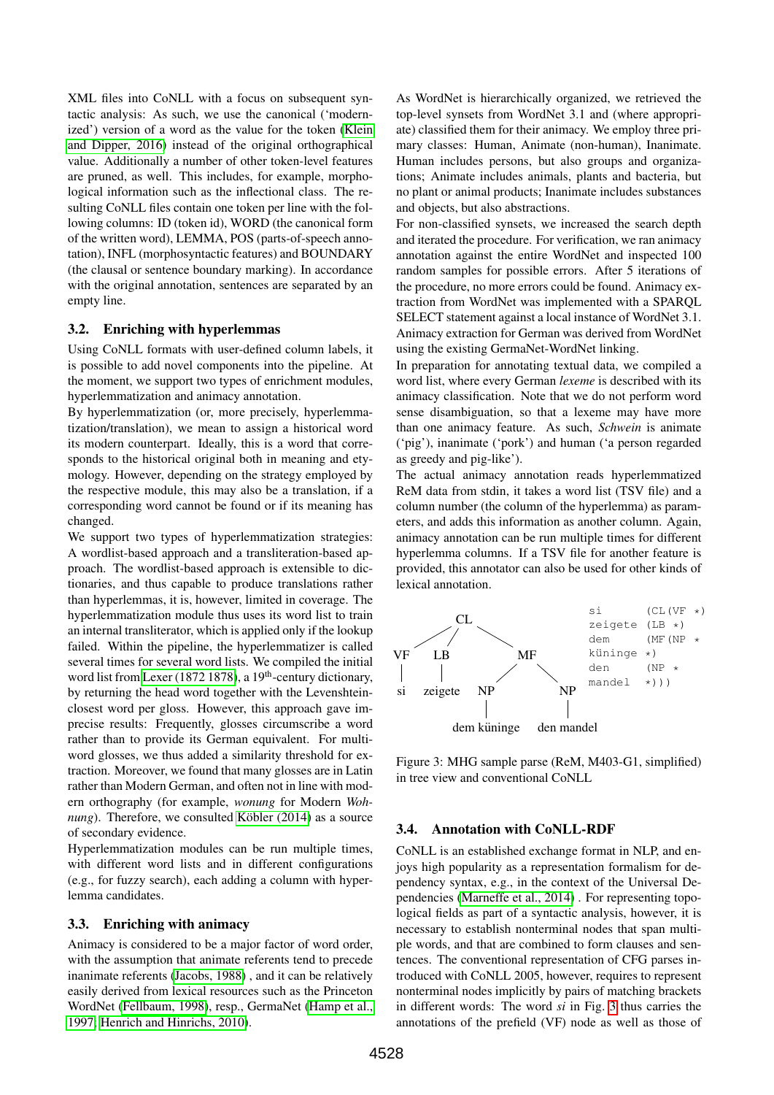XML files into CoNLL with a focus on subsequent syntactic analysis: As such, we use the canonical ('modernized') version of a word as the value for the token [\(Klein](#page-8-7) [and Dipper, 2016\)](#page-8-7) instead of the original orthographical value. Additionally a number of other token-level features are pruned, as well. This includes, for example, morphological information such as the inflectional class. The resulting CoNLL files contain one token per line with the following columns: ID (token id), WORD (the canonical form of the written word), LEMMA, POS (parts-of-speech annotation), INFL (morphosyntactic features) and BOUNDARY (the clausal or sentence boundary marking). In accordance with the original annotation, sentences are separated by an empty line.

#### 3.2. Enriching with hyperlemmas

Using CoNLL formats with user-defined column labels, it is possible to add novel components into the pipeline. At the moment, we support two types of enrichment modules, hyperlemmatization and animacy annotation.

By hyperlemmatization (or, more precisely, hyperlemmatization/translation), we mean to assign a historical word its modern counterpart. Ideally, this is a word that corresponds to the historical original both in meaning and etymology. However, depending on the strategy employed by the respective module, this may also be a translation, if a corresponding word cannot be found or if its meaning has changed.

We support two types of hyperlemmatization strategies: A wordlist-based approach and a transliteration-based approach. The wordlist-based approach is extensible to dictionaries, and thus capable to produce translations rather than hyperlemmas, it is, however, limited in coverage. The hyperlemmatization module thus uses its word list to train an internal transliterator, which is applied only if the lookup failed. Within the pipeline, the hyperlemmatizer is called several times for several word lists. We compiled the initial word list from [Lexer \(1872 1878\)](#page-8-3), a 19<sup>th</sup>-century dictionary, by returning the head word together with the Levenshteinclosest word per gloss. However, this approach gave imprecise results: Frequently, glosses circumscribe a word rather than to provide its German equivalent. For multiword glosses, we thus added a similarity threshold for extraction. Moreover, we found that many glosses are in Latin rather than Modern German, and often not in line with modern orthography (for example, *wonung* for Modern *Wohnung*). Therefore, we consulted Köbler (2014) as a source of secondary evidence.

Hyperlemmatization modules can be run multiple times, with different word lists and in different configurations (e.g., for fuzzy search), each adding a column with hyperlemma candidates.

#### 3.3. Enriching with animacy

Animacy is considered to be a major factor of word order, with the assumption that animate referents tend to precede inanimate referents [\(Jacobs, 1988\)](#page-8-9) , and it can be relatively easily derived from lexical resources such as the Princeton WordNet [\(Fellbaum, 1998\)](#page-8-10), resp., GermaNet [\(Hamp et al.,](#page-8-11) [1997;](#page-8-11) [Henrich and Hinrichs, 2010\)](#page-8-12).

As WordNet is hierarchically organized, we retrieved the top-level synsets from WordNet 3.1 and (where appropriate) classified them for their animacy. We employ three primary classes: Human, Animate (non-human), Inanimate. Human includes persons, but also groups and organizations; Animate includes animals, plants and bacteria, but no plant or animal products; Inanimate includes substances and objects, but also abstractions.

For non-classified synsets, we increased the search depth and iterated the procedure. For verification, we ran animacy annotation against the entire WordNet and inspected 100 random samples for possible errors. After 5 iterations of the procedure, no more errors could be found. Animacy extraction from WordNet was implemented with a SPARQL SELECT statement against a local instance of WordNet 3.1. Animacy extraction for German was derived from WordNet using the existing GermaNet-WordNet linking.

In preparation for annotating textual data, we compiled a word list, where every German *lexeme* is described with its animacy classification. Note that we do not perform word sense disambiguation, so that a lexeme may have more than one animacy feature. As such, *Schwein* is animate ('pig'), inanimate ('pork') and human ('a person regarded as greedy and pig-like').

The actual animacy annotation reads hyperlemmatized ReM data from stdin, it takes a word list (TSV file) and a column number (the column of the hyperlemma) as parameters, and adds this information as another column. Again, animacy annotation can be run multiple times for different hyperlemma columns. If a TSV file for another feature is provided, this annotator can also be used for other kinds of lexical annotation.

<span id="page-3-0"></span>

Figure 3: MHG sample parse (ReM, M403-G1, simplified) in tree view and conventional CoNLL

#### 3.4. Annotation with CoNLL-RDF

CoNLL is an established exchange format in NLP, and enjoys high popularity as a representation formalism for dependency syntax, e.g., in the context of the Universal Dependencies [\(Marneffe et al., 2014\)](#page-8-13) . For representing topological fields as part of a syntactic analysis, however, it is necessary to establish nonterminal nodes that span multiple words, and that are combined to form clauses and sentences. The conventional representation of CFG parses introduced with CoNLL 2005, however, requires to represent nonterminal nodes implicitly by pairs of matching brackets in different words: The word *si* in Fig. [3](#page-3-0) thus carries the annotations of the prefield (VF) node as well as those of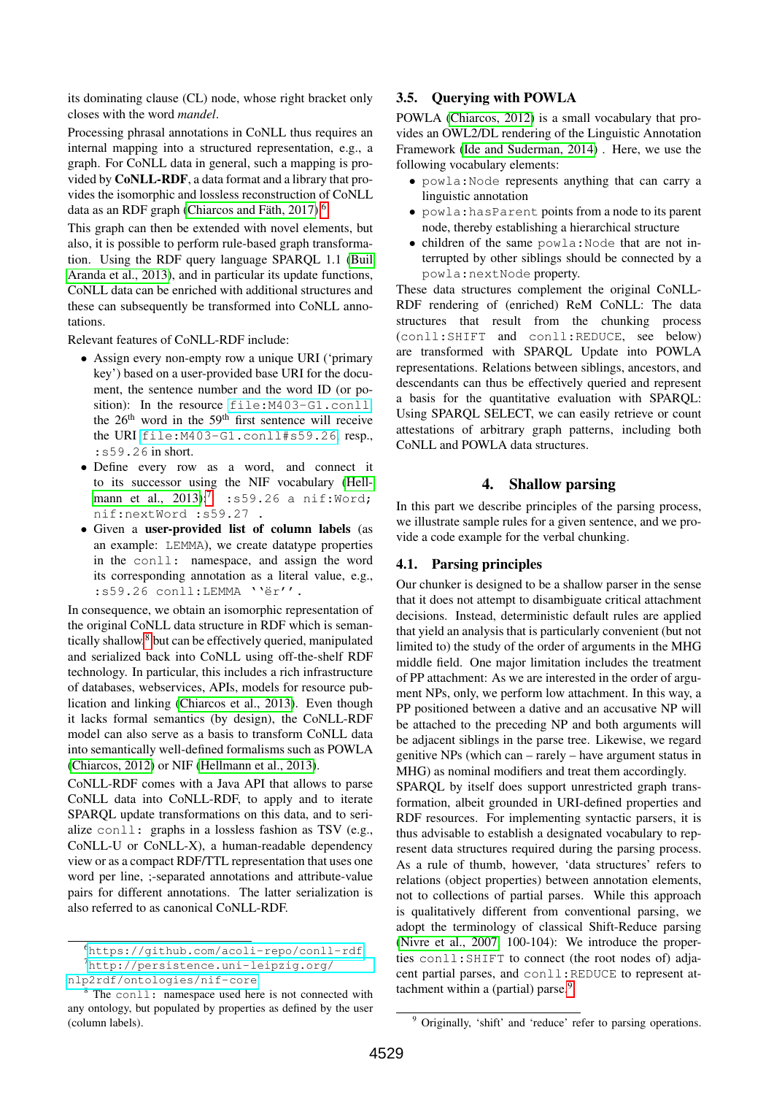its dominating clause (CL) node, whose right bracket only closes with the word *mandel*.

Processing phrasal annotations in CoNLL thus requires an internal mapping into a structured representation, e.g., a graph. For CoNLL data in general, such a mapping is provided by CoNLL-RDF, a data format and a library that provides the isomorphic and lossless reconstruction of CoNLL data as an RDF graph (Chiarcos and Fäth, 2017).<sup>[6](#page-4-0)</sup>

This graph can then be extended with novel elements, but also, it is possible to perform rule-based graph transformation. Using the RDF query language SPARQL 1.1 [\(Buil](#page-8-0) [Aranda et al., 2013\)](#page-8-0), and in particular its update functions, CoNLL data can be enriched with additional structures and these can subsequently be transformed into CoNLL annotations.

Relevant features of CoNLL-RDF include:

- Assign every non-empty row a unique URI ('primary key') based on a user-provided base URI for the document, the sentence number and the word ID (or position): In the resource file: M403-G1.conll, the  $26<sup>th</sup>$  word in the  $59<sup>th</sup>$  first sentence will receive the URI <file:M403-G1.conll#s59.26>, resp., :s59.26 in short.
- Define every row as a word, and connect it to its successor using the NIF vocabulary [\(Hell](#page-8-14)[mann et al., 2013\)](#page-8-14):<sup>[7](#page-4-1)</sup> :s59.26 a nif:Word; nif:nextWord :s59.27 .
- Given a user-provided list of column labels (as an example: LEMMA), we create datatype properties in the conll: namespace, and assign the word its corresponding annotation as a literal value, e.g.,  $:$   $559.26$  conll: LEMMA ''ër''.

In consequence, we obtain an isomorphic representation of the original CoNLL data structure in RDF which is seman-tically shallow,<sup>[8](#page-4-2)</sup> but can be effectively queried, manipulated and serialized back into CoNLL using off-the-shelf RDF technology. In particular, this includes a rich infrastructure of databases, webservices, APIs, models for resource publication and linking [\(Chiarcos et al., 2013\)](#page-8-15). Even though it lacks formal semantics (by design), the CoNLL-RDF model can also serve as a basis to transform CoNLL data into semantically well-defined formalisms such as POWLA [\(Chiarcos, 2012\)](#page-8-16) or NIF [\(Hellmann et al., 2013\)](#page-8-14).

CoNLL-RDF comes with a Java API that allows to parse CoNLL data into CoNLL-RDF, to apply and to iterate SPARQL update transformations on this data, and to serialize conll: graphs in a lossless fashion as TSV (e.g., CoNLL-U or CoNLL-X), a human-readable dependency view or as a compact RDF/TTL representation that uses one word per line, ;-separated annotations and attribute-value pairs for different annotations. The latter serialization is also referred to as canonical CoNLL-RDF.

# 3.5. Querying with POWLA

POWLA [\(Chiarcos, 2012\)](#page-8-16) is a small vocabulary that provides an OWL2/DL rendering of the Linguistic Annotation Framework [\(Ide and Suderman, 2014\)](#page-8-17) . Here, we use the following vocabulary elements:

- powla:Node represents anything that can carry a linguistic annotation
- powla:hasParent points from a node to its parent node, thereby establishing a hierarchical structure
- children of the same powla:Node that are not interrupted by other siblings should be connected by a powla:nextNode property.

These data structures complement the original CoNLL-RDF rendering of (enriched) ReM CoNLL: The data structures that result from the chunking process (conll:SHIFT and conll:REDUCE, see below) are transformed with SPARQL Update into POWLA representations. Relations between siblings, ancestors, and descendants can thus be effectively queried and represent a basis for the quantitative evaluation with SPARQL: Using SPARQL SELECT, we can easily retrieve or count attestations of arbitrary graph patterns, including both CoNLL and POWLA data structures.

#### 4. Shallow parsing

In this part we describe principles of the parsing process, we illustrate sample rules for a given sentence, and we provide a code example for the verbal chunking.

#### 4.1. Parsing principles

Our chunker is designed to be a shallow parser in the sense that it does not attempt to disambiguate critical attachment decisions. Instead, deterministic default rules are applied that yield an analysis that is particularly convenient (but not limited to) the study of the order of arguments in the MHG middle field. One major limitation includes the treatment of PP attachment: As we are interested in the order of argument NPs, only, we perform low attachment. In this way, a PP positioned between a dative and an accusative NP will be attached to the preceding NP and both arguments will be adjacent siblings in the parse tree. Likewise, we regard genitive NPs (which can – rarely – have argument status in MHG) as nominal modifiers and treat them accordingly.

SPARQL by itself does support unrestricted graph transformation, albeit grounded in URI-defined properties and RDF resources. For implementing syntactic parsers, it is thus advisable to establish a designated vocabulary to represent data structures required during the parsing process. As a rule of thumb, however, 'data structures' refers to relations (object properties) between annotation elements, not to collections of partial parses. While this approach is qualitatively different from conventional parsing, we adopt the terminology of classical Shift-Reduce parsing [\(Nivre et al., 2007,](#page-9-4) 100-104): We introduce the properties conll:SHIFT to connect (the root nodes of) adjacent partial parses, and conll:REDUCE to represent at-tachment within a (partial) parse.<sup>[9](#page-4-3)</sup>

<span id="page-4-1"></span><span id="page-4-0"></span><sup>6</sup><https://github.com/acoli-repo/conll-rdf> <sup>7</sup>[http://persistence.uni-leipzig.org/](http://persistence.uni-leipzig.org/nlp2rdf/ontologies/nif-core)

[nlp2rdf/ontologies/nif-core](http://persistence.uni-leipzig.org/nlp2rdf/ontologies/nif-core)

<span id="page-4-2"></span>The conll: namespace used here is not connected with any ontology, but populated by properties as defined by the user (column labels).

<span id="page-4-3"></span><sup>&</sup>lt;sup>9</sup> Originally, 'shift' and 'reduce' refer to parsing operations.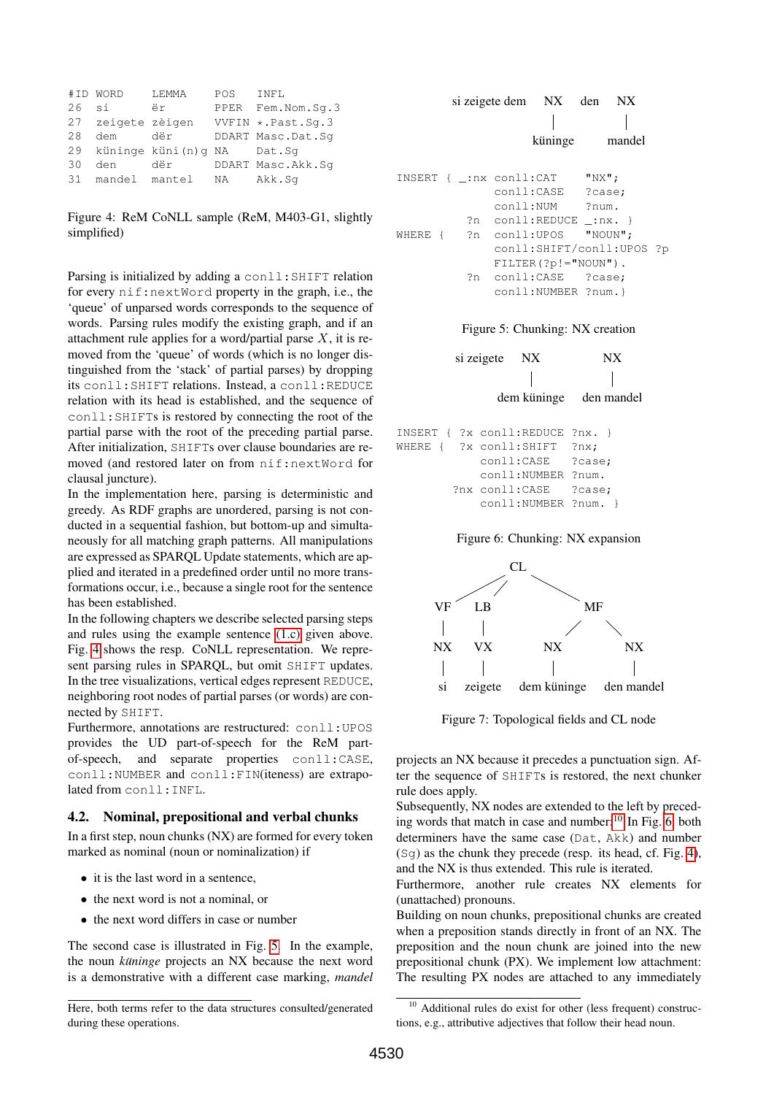<span id="page-5-0"></span>

|    | #ID WORD          | LEMMA                         | POS | INFL                 |
|----|-------------------|-------------------------------|-----|----------------------|
| 26 | si                | ër                            |     | PPER Fem. Nom. Sq. 3 |
|    | 27 zeigete zèigen |                               |     | VVFIN *. Past. Sq. 3 |
| 28 | dem               | dër                           |     | DDART Masc.Dat.Sq    |
|    |                   | 29 küninge küni(n)q NA Dat.Sq |     |                      |
| 30 | den               | dër                           |     | DDART Masc.Akk.Sg    |
|    |                   | 31 mandel mantel              | NA  | Akk.Sq               |

Figure 4: ReM CoNLL sample (ReM, M403-G1, slightly simplified)

Parsing is initialized by adding a conll: SHIFT relation for every nif:nextWord property in the graph, i.e., the 'queue' of unparsed words corresponds to the sequence of words. Parsing rules modify the existing graph, and if an attachment rule applies for a word/partial parse  $X$ , it is removed from the 'queue' of words (which is no longer distinguished from the 'stack' of partial parses) by dropping its conll:SHIFT relations. Instead, a conll:REDUCE relation with its head is established, and the sequence of conll:SHIFTs is restored by connecting the root of the partial parse with the root of the preceding partial parse. After initialization, SHIFTs over clause boundaries are removed (and restored later on from nif:nextWord for clausal juncture).

In the implementation here, parsing is deterministic and greedy. As RDF graphs are unordered, parsing is not conducted in a sequential fashion, but bottom-up and simultaneously for all matching graph patterns. All manipulations are expressed as SPARQL Update statements, which are applied and iterated in a predefined order until no more transformations occur, i.e., because a single root for the sentence has been established.

In the following chapters we describe selected parsing steps and rules using the example sentence [\(1.c\)](#page-1-0) given above. Fig. [4](#page-5-0) shows the resp. CoNLL representation. We represent parsing rules in SPARQL, but omit SHIFT updates. In the tree visualizations, vertical edges represent REDUCE, neighboring root nodes of partial parses (or words) are connected by SHIFT.

Furthermore, annotations are restructured: conll:UPOS provides the UD part-of-speech for the ReM partof-speech, and separate properties conll:CASE, conll:NUMBER and conll:FIN(iteness) are extrapolated from conll:INFL.

### 4.2. Nominal, prepositional and verbal chunks

In a first step, noun chunks (NX) are formed for every token marked as nominal (noun or nominalization) if

- it is the last word in a sentence,
- the next word is not a nominal, or
- the next word differs in case or number

The second case is illustrated in Fig. [5.](#page-5-1) In the example, the noun *küninge* projects an NX because the next word is a demonstrative with a different case marking, *mandel*

```
si zeigete dem NX
                   küninge
                          den NX
                             mandel
INSERT { _:nx conll:CAT "NX";
             conll:CASE ?case;
             conll:NUM ?num.
          ?n conll:REDUCE _:nx. }
WHERE { ?n conll:UPOS "NOUN";
             conll:SHIFT/conll:UPOS ?p
             FILTER(?p!="NOUN").
          ?n conll:CASE ?case;
             conll:NUMBER ?num.}
```
Figure 5: Chunking: NX creation

|                                       |  | si zeigete NX   |                      | IN X                   |
|---------------------------------------|--|-----------------|----------------------|------------------------|
|                                       |  |                 |                      |                        |
|                                       |  |                 |                      | dem küninge den mandel |
|                                       |  |                 |                      |                        |
| $INSERT$ { $?x$ conll:REDUCE $?nx.$ } |  |                 |                      |                        |
| WHERE { ?x conll:SHIFT                |  |                 |                      | ?nx;                   |
|                                       |  |                 | conll:CASE           | ?case;                 |
|                                       |  |                 | conll:NUMBER ?num.   |                        |
|                                       |  | ?nx conll: CASE |                      | ?case;                 |
|                                       |  |                 | conll:NUMBER ?num. } |                        |
|                                       |  |                 |                      |                        |

Figure 6: Chunking: NX expansion



Figure 7: Topological fields and CL node

projects an NX because it precedes a punctuation sign. After the sequence of SHIFTs is restored, the next chunker rule does apply.

Subsequently, NX nodes are extended to the left by preceding words that match in case and number: $10 \text{ In Fig. 6, both}$  $10 \text{ In Fig. 6, both}$  $10 \text{ In Fig. 6, both}$  $10 \text{ In Fig. 6, both}$ determiners have the same case (Dat, Akk) and number  $(Sq)$  as the chunk they precede (resp. its head, cf. Fig. [4\)](#page-5-0), and the NX is thus extended. This rule is iterated.

Furthermore, another rule creates NX elements for (unattached) pronouns.

Building on noun chunks, prepositional chunks are created when a preposition stands directly in front of an NX. The preposition and the noun chunk are joined into the new prepositional chunk (PX). We implement low attachment: The resulting PX nodes are attached to any immediately

Here, both terms refer to the data structures consulted/generated during these operations.

<span id="page-5-2"></span><sup>&</sup>lt;sup>10</sup> Additional rules do exist for other (less frequent) constructions, e.g., attributive adjectives that follow their head noun.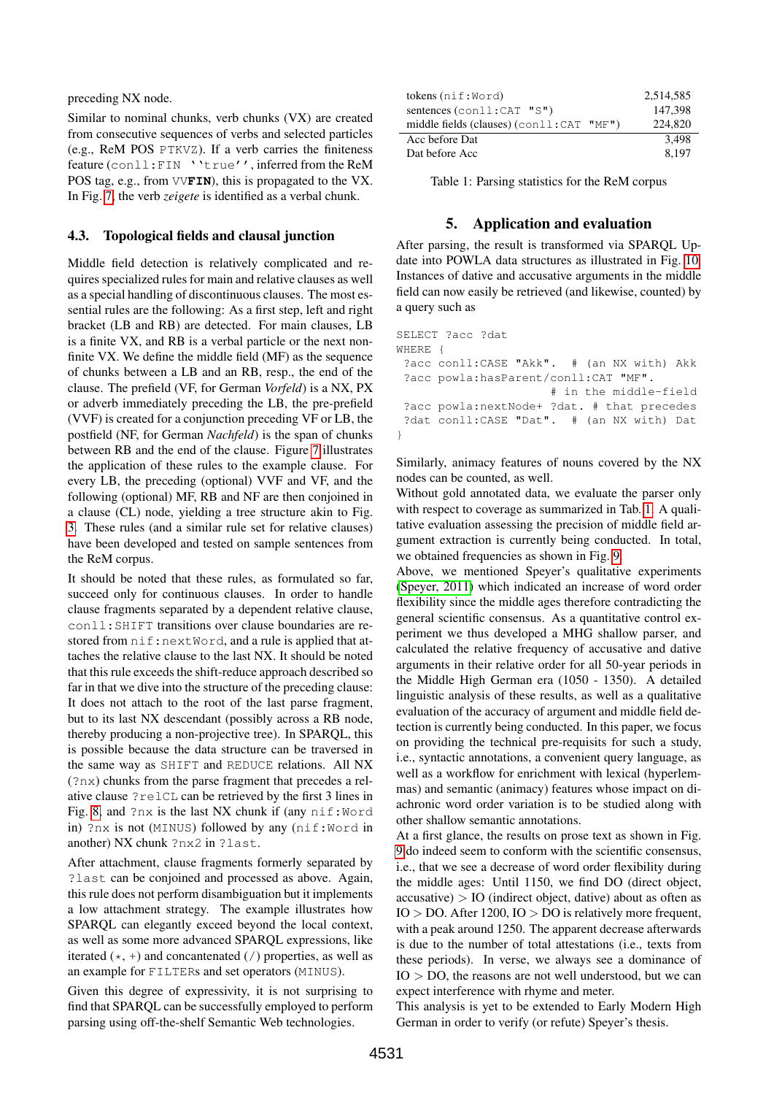preceding NX node.

Similar to nominal chunks, verb chunks (VX) are created from consecutive sequences of verbs and selected particles (e.g., ReM POS PTKVZ). If a verb carries the finiteness feature (conll:FIN ''true'', inferred from the ReM POS tag, e.g., from VV**FIN**), this is propagated to the VX. In Fig. [7,](#page-5-1) the verb *zeigete* is identified as a verbal chunk.

# 4.3. Topological fields and clausal junction

Middle field detection is relatively complicated and requires specialized rules for main and relative clauses as well as a special handling of discontinuous clauses. The most essential rules are the following: As a first step, left and right bracket (LB and RB) are detected. For main clauses, LB is a finite VX, and RB is a verbal particle or the next nonfinite VX. We define the middle field (MF) as the sequence of chunks between a LB and an RB, resp., the end of the clause. The prefield (VF, for German *Vorfeld*) is a NX, PX or adverb immediately preceding the LB, the pre-prefield (VVF) is created for a conjunction preceding VF or LB, the postfield (NF, for German *Nachfeld*) is the span of chunks between RB and the end of the clause. Figure [7](#page-5-1) illustrates the application of these rules to the example clause. For every LB, the preceding (optional) VVF and VF, and the following (optional) MF, RB and NF are then conjoined in a clause (CL) node, yielding a tree structure akin to Fig. [3.](#page-3-0) These rules (and a similar rule set for relative clauses) have been developed and tested on sample sentences from the ReM corpus.

It should be noted that these rules, as formulated so far, succeed only for continuous clauses. In order to handle clause fragments separated by a dependent relative clause, conll:SHIFT transitions over clause boundaries are restored from  $n$ if:nextWord, and a rule is applied that attaches the relative clause to the last NX. It should be noted that this rule exceeds the shift-reduce approach described so far in that we dive into the structure of the preceding clause: It does not attach to the root of the last parse fragment, but to its last NX descendant (possibly across a RB node, thereby producing a non-projective tree). In SPARQL, this is possible because the data structure can be traversed in the same way as SHIFT and REDUCE relations. All NX (?nx) chunks from the parse fragment that precedes a relative clause ?relCL can be retrieved by the first 3 lines in Fig. [8,](#page-7-0) and  $?nx$  is the last NX chunk if (any  $nif:Word$ in) ?nx is not (MINUS) followed by any (nif:Word in another) NX chunk ?nx2 in ?last.

After attachment, clause fragments formerly separated by ?last can be conjoined and processed as above. Again, this rule does not perform disambiguation but it implements a low attachment strategy. The example illustrates how SPARQL can elegantly exceed beyond the local context, as well as some more advanced SPARQL expressions, like iterated  $(*, +)$  and concantenated (/) properties, as well as an example for FILTERs and set operators (MINUS).

Given this degree of expressivity, it is not surprising to find that SPARQL can be successfully employed to perform parsing using off-the-shelf Semantic Web technologies.

<span id="page-6-0"></span>

| tokens $(nif:Word)$                                | 2,514,585 |
|----------------------------------------------------|-----------|
| sentences $(\text{conll}:\text{CAT }\text{''S''})$ | 147.398   |
| middle fields (clauses) $(con11:CAT "MF")$         | 224,820   |
| Acc before Dat                                     | 3.498     |
| Dat before Acc                                     | 8.197     |

Table 1: Parsing statistics for the ReM corpus

# 5. Application and evaluation

After parsing, the result is transformed via SPARQL Update into POWLA data structures as illustrated in Fig. [10.](#page-7-1) Instances of dative and accusative arguments in the middle field can now easily be retrieved (and likewise, counted) by a query such as

```
SELECT ?acc ?dat
WHERE {
 ?acc conll:CASE "Akk". # (an NX with) Akk
 ?acc powla:hasParent/conll:CAT "MF".
                      # in the middle-field
 ?acc powla:nextNode+ ?dat. # that precedes
 ?dat conll:CASE "Dat". # (an NX with) Dat
}
```
Similarly, animacy features of nouns covered by the NX nodes can be counted, as well.

Without gold annotated data, we evaluate the parser only with respect to coverage as summarized in Tab. [1.](#page-6-0) A qualitative evaluation assessing the precision of middle field argument extraction is currently being conducted. In total, we obtained frequencies as shown in Fig. [9.](#page-7-2)

Above, we mentioned Speyer's qualitative experiments [\(Speyer, 2011\)](#page-9-1) which indicated an increase of word order flexibility since the middle ages therefore contradicting the general scientific consensus. As a quantitative control experiment we thus developed a MHG shallow parser, and calculated the relative frequency of accusative and dative arguments in their relative order for all 50-year periods in the Middle High German era (1050 - 1350). A detailed linguistic analysis of these results, as well as a qualitative evaluation of the accuracy of argument and middle field detection is currently being conducted. In this paper, we focus on providing the technical pre-requisits for such a study, i.e., syntactic annotations, a convenient query language, as well as a workflow for enrichment with lexical (hyperlemmas) and semantic (animacy) features whose impact on diachronic word order variation is to be studied along with other shallow semantic annotations.

At a first glance, the results on prose text as shown in Fig. [9](#page-7-2) do indeed seem to conform with the scientific consensus, i.e., that we see a decrease of word order flexibility during the middle ages: Until 1150, we find DO (direct object,  $accusative$ ) > IO (indirect object, dative) about as often as  $IO > DO$ . After 1200,  $IO > DO$  is relatively more frequent, with a peak around 1250. The apparent decrease afterwards is due to the number of total attestations (i.e., texts from these periods). In verse, we always see a dominance of  $IO > DO$ , the reasons are not well understood, but we can expect interference with rhyme and meter.

This analysis is yet to be extended to Early Modern High German in order to verify (or refute) Speyer's thesis.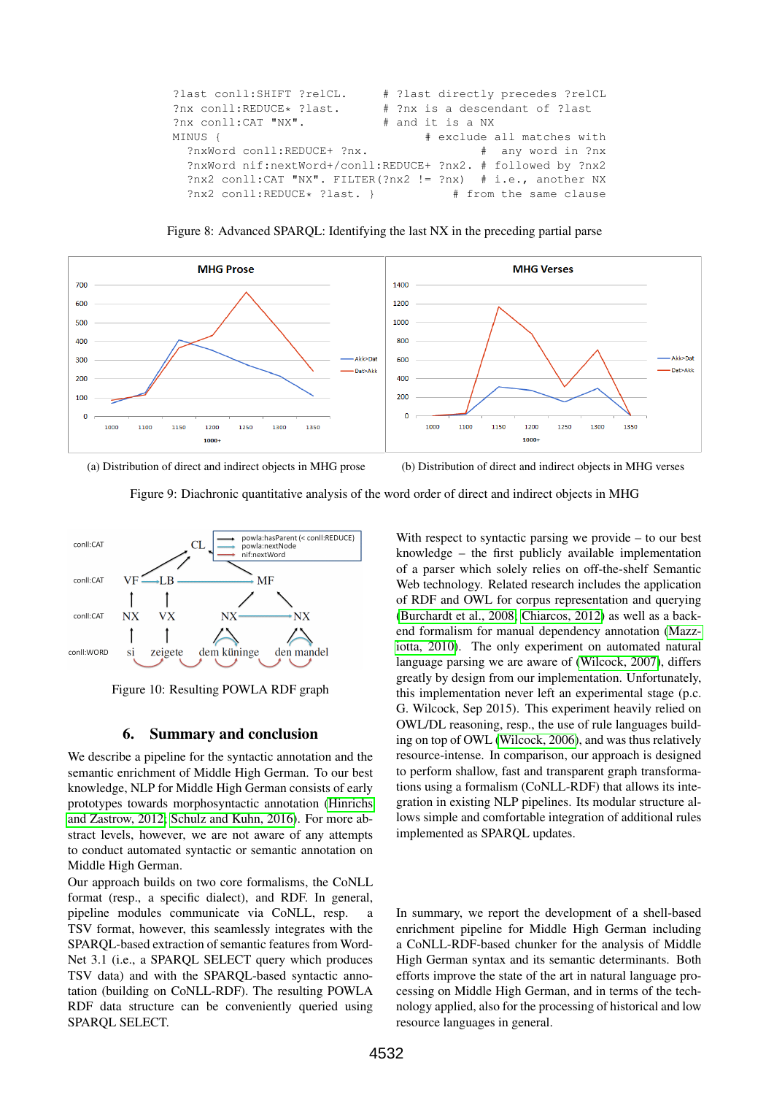```
?last conll:SHIFT ?relCL. # ?last directly precedes ?relCL
?nx conll:REDUCE* ?last. # ?nx is a descendant of ?last<br>?nx conll:CAT "NX". # and it is a NX
?nx conll:CAT "NX". #
MINUS { # exclude all matches with
  ?nxWord conll:REDUCE+ ?nx. # any word in ?nx
  ?nxWord nif:nextWord+/conll:REDUCE+ ?nx2. # followed by ?nx2
  ?nx2 conll:CAT "NX". FILTER(?nx2 != ?nx) # i.e., another NX
  ?nx2 conll:REDUCE* ?last. } # from the same clause
```
Figure 8: Advanced SPARQL: Identifying the last NX in the preceding partial parse

<span id="page-7-2"></span>

(a) Distribution of direct and indirect objects in MHG prose (b) Distribution of direct and indirect objects in MHG verses

Figure 9: Diachronic quantitative analysis of the word order of direct and indirect objects in MHG

<span id="page-7-1"></span>

Figure 10: Resulting POWLA RDF graph

#### 6. Summary and conclusion

We describe a pipeline for the syntactic annotation and the semantic enrichment of Middle High German. To our best knowledge, NLP for Middle High German consists of early prototypes towards morphosyntactic annotation [\(Hinrichs](#page-8-18) [and Zastrow, 2012;](#page-8-18) [Schulz and Kuhn, 2016\)](#page-9-5). For more abstract levels, however, we are not aware of any attempts to conduct automated syntactic or semantic annotation on Middle High German.

Our approach builds on two core formalisms, the CoNLL format (resp., a specific dialect), and RDF. In general, pipeline modules communicate via CoNLL, resp. a TSV format, however, this seamlessly integrates with the SPARQL-based extraction of semantic features from Word-Net 3.1 (i.e., a SPARQL SELECT query which produces TSV data) and with the SPARQL-based syntactic annotation (building on CoNLL-RDF). The resulting POWLA RDF data structure can be conveniently queried using SPARQL SELECT.

With respect to syntactic parsing we provide – to our best knowledge – the first publicly available implementation of a parser which solely relies on off-the-shelf Semantic Web technology. Related research includes the application of RDF and OWL for corpus representation and querying [\(Burchardt et al., 2008;](#page-8-19) [Chiarcos, 2012\)](#page-8-16) as well as a backend formalism for manual dependency annotation [\(Mazz](#page-9-6)[iotta, 2010\)](#page-9-6). The only experiment on automated natural language parsing we are aware of [\(Wilcock, 2007\)](#page-9-7), differs greatly by design from our implementation. Unfortunately, this implementation never left an experimental stage (p.c. G. Wilcock, Sep 2015). This experiment heavily relied on OWL/DL reasoning, resp., the use of rule languages building on top of OWL [\(Wilcock, 2006\)](#page-9-8), and was thus relatively resource-intense. In comparison, our approach is designed to perform shallow, fast and transparent graph transformations using a formalism (CoNLL-RDF) that allows its integration in existing NLP pipelines. Its modular structure allows simple and comfortable integration of additional rules implemented as SPARQL updates.

In summary, we report the development of a shell-based enrichment pipeline for Middle High German including a CoNLL-RDF-based chunker for the analysis of Middle High German syntax and its semantic determinants. Both efforts improve the state of the art in natural language processing on Middle High German, and in terms of the technology applied, also for the processing of historical and low resource languages in general.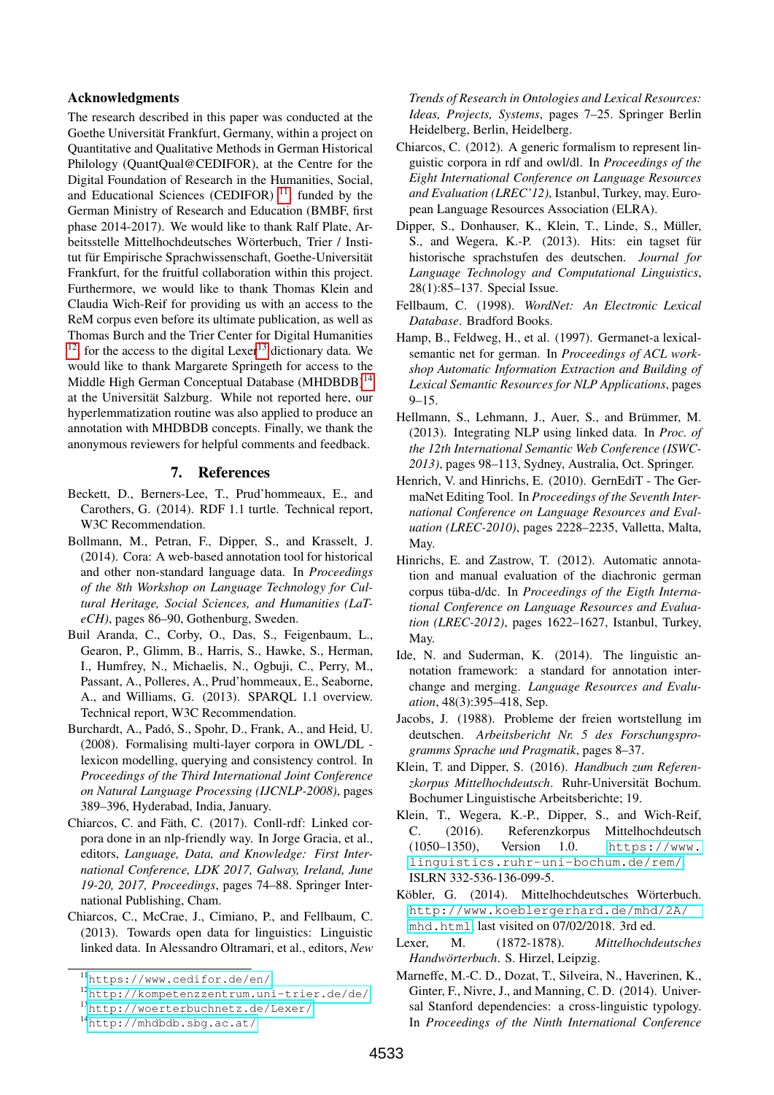#### Acknowledgments

The research described in this paper was conducted at the Goethe Universität Frankfurt, Germany, within a project on Quantitative and Qualitative Methods in German Historical Philology (QuantQual@CEDIFOR), at the Centre for the Digital Foundation of Research in the Humanities, Social, and Educational Sciences (CEDIFOR)  $11$ , funded by the German Ministry of Research and Education (BMBF, first phase 2014-2017). We would like to thank Ralf Plate, Arbeitsstelle Mittelhochdeutsches Wörterbuch, Trier / Institut für Empirische Sprachwissenschaft, Goethe-Universität Frankfurt, for the fruitful collaboration within this project. Furthermore, we would like to thank Thomas Klein and Claudia Wich-Reif for providing us with an access to the ReM corpus even before its ultimate publication, as well as Thomas Burch and the Trier Center for Digital Humanities  $12$ , for the access to the digital Lexer<sup>[13](#page-8-22)</sup> dictionary data. We would like to thank Margarete Springeth for access to the Middle High German Conceptual Database (MHDBDB)<sup>[14](#page-8-23)</sup> at the Universität Salzburg. While not reported here, our hyperlemmatization routine was also applied to produce an annotation with MHDBDB concepts. Finally, we thank the anonymous reviewers for helpful comments and feedback.

#### 7. References

- <span id="page-8-5"></span>Beckett, D., Berners-Lee, T., Prud'hommeaux, E., and Carothers, G. (2014). RDF 1.1 turtle. Technical report, W3C Recommendation.
- <span id="page-8-6"></span>Bollmann, M., Petran, F., Dipper, S., and Krasselt, J. (2014). Cora: A web-based annotation tool for historical and other non-standard language data. In *Proceedings of the 8th Workshop on Language Technology for Cultural Heritage, Social Sciences, and Humanities (LaTeCH)*, pages 86–90, Gothenburg, Sweden.
- <span id="page-8-0"></span>Buil Aranda, C., Corby, O., Das, S., Feigenbaum, L., Gearon, P., Glimm, B., Harris, S., Hawke, S., Herman, I., Humfrey, N., Michaelis, N., Ogbuji, C., Perry, M., Passant, A., Polleres, A., Prud'hommeaux, E., Seaborne, A., and Williams, G. (2013). SPARQL 1.1 overview. Technical report, W3C Recommendation.
- <span id="page-8-19"></span>Burchardt, A., Padó, S., Spohr, D., Frank, A., and Heid, U. (2008). Formalising multi-layer corpora in OWL/DL lexicon modelling, querying and consistency control. In *Proceedings of the Third International Joint Conference on Natural Language Processing (IJCNLP-2008)*, pages 389–396, Hyderabad, India, January.
- <span id="page-8-1"></span>Chiarcos, C. and Fäth, C. (2017). Conll-rdf: Linked corpora done in an nlp-friendly way. In Jorge Gracia, et al., editors, *Language, Data, and Knowledge: First International Conference, LDK 2017, Galway, Ireland, June 19-20, 2017, Proceedings*, pages 74–88. Springer International Publishing, Cham.
- <span id="page-8-15"></span>Chiarcos, C., McCrae, J., Cimiano, P., and Fellbaum, C. (2013). Towards open data for linguistics: Linguistic linked data. In Alessandro Oltramari, et al., editors, *New*

*Trends of Research in Ontologies and Lexical Resources: Ideas, Projects, Systems*, pages 7–25. Springer Berlin Heidelberg, Berlin, Heidelberg.

- <span id="page-8-16"></span>Chiarcos, C. (2012). A generic formalism to represent linguistic corpora in rdf and owl/dl. In *Proceedings of the Eight International Conference on Language Resources and Evaluation (LREC'12)*, Istanbul, Turkey, may. European Language Resources Association (ELRA).
- <span id="page-8-4"></span>Dipper, S., Donhauser, K., Klein, T., Linde, S., Müller, S., and Wegera, K.-P. (2013). Hits: ein tagset für historische sprachstufen des deutschen. *Journal for Language Technology and Computational Linguistics*, 28(1):85–137. Special Issue.
- <span id="page-8-10"></span>Fellbaum, C. (1998). *WordNet: An Electronic Lexical Database*. Bradford Books.
- <span id="page-8-11"></span>Hamp, B., Feldweg, H., et al. (1997). Germanet-a lexicalsemantic net for german. In *Proceedings of ACL workshop Automatic Information Extraction and Building of Lexical Semantic Resources for NLP Applications*, pages 9–15.
- <span id="page-8-14"></span>Hellmann, S., Lehmann, J., Auer, S., and Brümmer, M. (2013). Integrating NLP using linked data. In *Proc. of the 12th International Semantic Web Conference (ISWC-2013)*, pages 98–113, Sydney, Australia, Oct. Springer.
- <span id="page-8-12"></span>Henrich, V. and Hinrichs, E. (2010). GernEdiT - The GermaNet Editing Tool. In *Proceedings of the Seventh International Conference on Language Resources and Evaluation (LREC-2010)*, pages 2228–2235, Valletta, Malta, May.
- <span id="page-8-18"></span>Hinrichs, E. and Zastrow, T. (2012). Automatic annotation and manual evaluation of the diachronic german corpus tüba-d/dc. In *Proceedings of the Eigth International Conference on Language Resources and Evaluation (LREC-2012)*, pages 1622–1627, Istanbul, Turkey, May.
- <span id="page-8-17"></span>Ide, N. and Suderman, K. (2014). The linguistic annotation framework: a standard for annotation interchange and merging. *Language Resources and Evaluation*, 48(3):395–418, Sep.
- <span id="page-8-9"></span>Jacobs, J. (1988). Probleme der freien wortstellung im deutschen. *Arbeitsbericht Nr. 5 des Forschungsprogramms Sprache und Pragmatik*, pages 8–37.
- <span id="page-8-7"></span>Klein, T. and Dipper, S. (2016). *Handbuch zum Referen*zkorpus Mittelhochdeutsch. Ruhr-Universität Bochum. Bochumer Linguistische Arbeitsberichte; 19.
- <span id="page-8-2"></span>Klein, T., Wegera, K.-P., Dipper, S., and Wich-Reif, C. (2016). Referenzkorpus Mittelhochdeutsch (1050–1350), Version 1.0. [https://www.](https://www.linguistics.ruhr-uni-bochum.de/rem/) [linguistics.ruhr-uni-bochum.de/rem/](https://www.linguistics.ruhr-uni-bochum.de/rem/). ISLRN 332-536-136-099-5.
- <span id="page-8-8"></span>Köbler, G. (2014). Mittelhochdeutsches Wörterbuch. [http://www.koeblergerhard.de/mhd/2A/](http://www.koeblergerhard.de/mhd/2A/mhd.html) [mhd.html](http://www.koeblergerhard.de/mhd/2A/mhd.html), last visited on 07/02/2018. 3rd ed.
- <span id="page-8-3"></span>Lexer, M. (1872-1878). *Mittelhochdeutsches Handwörterbuch*. S. Hirzel, Leipzig.
- <span id="page-8-13"></span>Marneffe, M.-C. D., Dozat, T., Silveira, N., Haverinen, K., Ginter, F., Nivre, J., and Manning, C. D. (2014). Universal Stanford dependencies: a cross-linguistic typology. In *Proceedings of the Ninth International Conference*

<span id="page-8-20"></span><sup>11</sup><https://www.cedifor.de/en/>

<span id="page-8-21"></span><sup>12</sup><http://kompetenzzentrum.uni-trier.de/de/>

<span id="page-8-22"></span><sup>13</sup><http://woerterbuchnetz.de/Lexer/>

<span id="page-8-23"></span><sup>14</sup><http://mhdbdb.sbg.ac.at/>